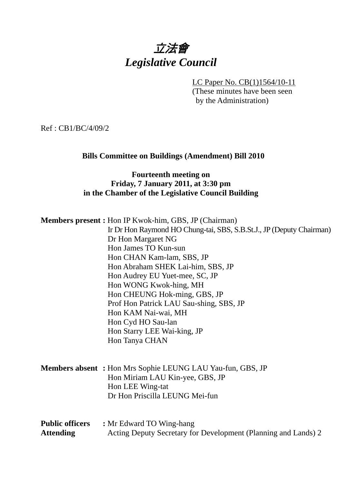# 立法會 *Legislative Council*

LC Paper No. CB(1)1564/10-11

(These minutes have been seen by the Administration)

Ref : CB1/BC/4/09/2

#### **Bills Committee on Buildings (Amendment) Bill 2010**

#### **Fourteenth meeting on Friday, 7 January 2011, at 3:30 pm in the Chamber of the Legislative Council Building**

**Members present :** Hon IP Kwok-him, GBS, JP (Chairman) Ir Dr Hon Raymond HO Chung-tai, SBS, S.B.St.J., JP (Deputy Chairman) Dr Hon Margaret NG Hon James TO Kun-sun Hon CHAN Kam-lam, SBS, JP Hon Abraham SHEK Lai-him, SBS, JP Hon Audrey EU Yuet-mee, SC, JP Hon WONG Kwok-hing, MH Hon CHEUNG Hok-ming, GBS, JP Prof Hon Patrick LAU Sau-shing, SBS, JP Hon KAM Nai-wai, MH Hon Cyd HO Sau-lan Hon Starry LEE Wai-king, JP Hon Tanya CHAN **Members absent :** Hon Mrs Sophie LEUNG LAU Yau-fun, GBS, JP Hon Miriam LAU Kin-yee, GBS, JP Hon LEE Wing-tat Dr Hon Priscilla LEUNG Mei-fun

#### **Public officers : Mr Edward TO Wing-hang** Attending **Acting Deputy Secretary for Development (Planning and Lands) 2**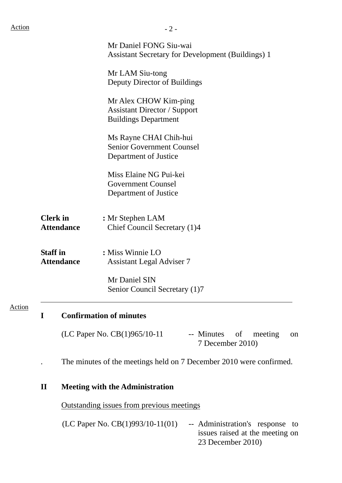|        |                 |                                      | Mr Daniel FONG Siu-wai<br><b>Assistant Secretary for Development (Buildings) 1</b>               |
|--------|-----------------|--------------------------------------|--------------------------------------------------------------------------------------------------|
|        |                 |                                      | Mr LAM Siu-tong<br>Deputy Director of Buildings                                                  |
|        |                 |                                      | Mr Alex CHOW Kim-ping<br><b>Assistant Director / Support</b><br><b>Buildings Department</b>      |
|        |                 |                                      | Ms Rayne CHAI Chih-hui<br><b>Senior Government Counsel</b><br>Department of Justice              |
|        |                 |                                      | Miss Elaine NG Pui-kei<br><b>Government Counsel</b><br>Department of Justice                     |
|        |                 | <b>Clerk</b> in<br><b>Attendance</b> | : Mr Stephen LAM<br>Chief Council Secretary (1)4                                                 |
|        | <b>Staff</b> in | <b>Attendance</b>                    | : Miss Winnie LO<br><b>Assistant Legal Adviser 7</b>                                             |
|        |                 |                                      | Mr Daniel SIN<br>Senior Council Secretary (1)7                                                   |
| Action | $\mathbf I$     |                                      | <b>Confirmation of minutes</b>                                                                   |
|        |                 |                                      | (LC Paper No. CB(1)965/10-11<br>-- Minutes<br><sub>of</sub><br>meeting<br>on<br>7 December 2010) |
|        |                 |                                      | The minutes of the meetings held on 7 December 2010 were confirmed.                              |
|        | $\mathbf{I}$    |                                      | <b>Meeting with the Administration</b>                                                           |

Outstanding issues from previous meetings

(LC Paper No. CB(1)993/10-11(01) -- Administration's response to issues raised at the meeting on 23 December 2010)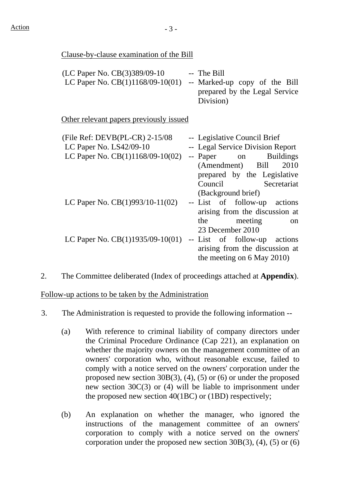#### Clause-by-clause examination of the Bill

| (LC Paper No. CB(3)389/09-10       | -- The Bill                   |
|------------------------------------|-------------------------------|
| LC Paper No. $CB(1)1168/09-10(01)$ | -- Marked-up copy of the Bill |
|                                    | prepared by the Legal Service |
|                                    | Division)                     |

Other relevant papers previously issued

| (File Ref: $DEVB(PL-CR)$ 2-15/08   | -- Legislative Council Brief     |  |                  |
|------------------------------------|----------------------------------|--|------------------|
| LC Paper No. LS42/09-10            | -- Legal Service Division Report |  |                  |
| LC Paper No. $CB(1)1168/09-10(02)$ | -- Paper on                      |  | <b>Buildings</b> |
|                                    | (Amendment) Bill                 |  | 2010             |
|                                    | prepared by the Legislative      |  |                  |
|                                    | Council Secretariat              |  |                  |
|                                    | (Background brief)               |  |                  |
| LC Paper No. $CB(1)993/10-11(02)$  | -- List of follow-up actions     |  |                  |
|                                    | arising from the discussion at   |  |                  |
|                                    | the meeting                      |  | <sub>on</sub>    |
|                                    | 23 December 2010                 |  |                  |
| LC Paper No. $CB(1)1935/09-10(01)$ | -- List of follow-up actions     |  |                  |
|                                    | arising from the discussion at   |  |                  |
|                                    | the meeting on 6 May 2010)       |  |                  |

2. The Committee deliberated (Index of proceedings attached at **Appendix**).

Follow-up actions to be taken by the Administration

- 3. The Administration is requested to provide the following information --
	- (a) With reference to criminal liability of company directors under the Criminal Procedure Ordinance (Cap 221), an explanation on whether the majority owners on the management committee of an owners' corporation who, without reasonable excuse, failed to comply with a notice served on the owners' corporation under the proposed new section 30B(3), (4), (5) or (6) or under the proposed new section 30C(3) or (4) will be liable to imprisonment under the proposed new section 40(1BC) or (1BD) respectively;
	- (b) An explanation on whether the manager, who ignored the instructions of the management committee of an owners' corporation to comply with a notice served on the owners' corporation under the proposed new section  $30B(3)$ , (4), (5) or (6)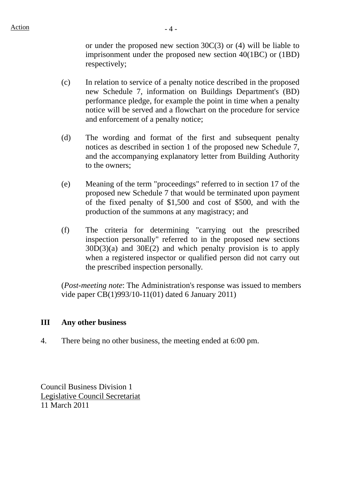or under the proposed new section 30C(3) or (4) will be liable to imprisonment under the proposed new section 40(1BC) or (1BD) respectively;

- (c) In relation to service of a penalty notice described in the proposed new Schedule 7, information on Buildings Department's (BD) performance pledge, for example the point in time when a penalty notice will be served and a flowchart on the procedure for service and enforcement of a penalty notice;
- (d) The wording and format of the first and subsequent penalty notices as described in section 1 of the proposed new Schedule 7, and the accompanying explanatory letter from Building Authority to the owners;
- (e) Meaning of the term "proceedings" referred to in section 17 of the proposed new Schedule 7 that would be terminated upon payment of the fixed penalty of \$1,500 and cost of \$500, and with the production of the summons at any magistracy; and
- (f) The criteria for determining "carrying out the prescribed inspection personally" referred to in the proposed new sections  $30D(3)(a)$  and  $30E(2)$  and which penalty provision is to apply when a registered inspector or qualified person did not carry out the prescribed inspection personally.

(*Post-meeting note*: The Administration's response was issued to members vide paper CB(1)993/10-11(01) dated 6 January 2011)

#### **III Any other business**

4. There being no other business, the meeting ended at 6:00 pm.

Council Business Division 1 Legislative Council Secretariat 11 March 2011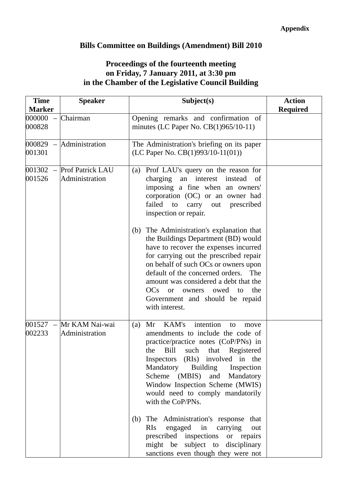## **Bills Committee on Buildings (Amendment) Bill 2010**

### **Proceedings of the fourteenth meeting on Friday, 7 January 2011, at 3:30 pm in the Chamber of the Legislative Council Building**

| <b>Time</b><br><b>Marker</b> | <b>Speaker</b>                            | Subject(s)                                                                                                                                                                                                                                                                                                                                                                                                                                                                                                                                                                                                                    | <b>Action</b>   |
|------------------------------|-------------------------------------------|-------------------------------------------------------------------------------------------------------------------------------------------------------------------------------------------------------------------------------------------------------------------------------------------------------------------------------------------------------------------------------------------------------------------------------------------------------------------------------------------------------------------------------------------------------------------------------------------------------------------------------|-----------------|
| 000000<br>000828             | Chairman                                  | Opening remarks and confirmation of<br>minutes (LC Paper No. $CB(1)965/10-11$ )                                                                                                                                                                                                                                                                                                                                                                                                                                                                                                                                               | <b>Required</b> |
| 000829<br>001301             | Administration                            | The Administration's briefing on its paper<br>(LC Paper No. CB(1)993/10-11(01))                                                                                                                                                                                                                                                                                                                                                                                                                                                                                                                                               |                 |
| 001302<br>001526             | <b>Prof Patrick LAU</b><br>Administration | (a) Prof LAU's query on the reason for<br>an interest<br>charging<br>instead<br>of<br>imposing a fine when an owners'<br>corporation (OC) or an owner had<br>failed<br>to<br>carry out prescribed<br>inspection or repair.<br>The Administration's explanation that<br>(b)<br>the Buildings Department (BD) would<br>have to recover the expenses incurred<br>for carrying out the prescribed repair<br>on behalf of such OCs or owners upon<br>default of the concerned orders.<br>The<br>amount was considered a debt that the<br>$OCs$ or<br>owed to<br>the<br>owners<br>Government and should be repaid<br>with interest. |                 |
| 001527<br>$\equiv$<br>002233 | Mr KAM Nai-wai<br>Administration          | intention<br>KAM's<br>Mr<br>(a)<br>to<br>move<br>amendments to include the code of<br>practice/practice notes (CoP/PNs) in<br>Bill<br>such that Registered<br>the<br>Inspectors (RIs) involved in the<br>Mandatory<br>Building Inspection<br>Scheme (MBIS) and Mandatory<br>Window Inspection Scheme (MWIS)<br>would need to comply mandatorily<br>with the CoP/PNs.<br>The Administration's response that<br>(b)<br>engaged in carrying<br><b>RIs</b><br>out<br>prescribed inspections<br>or repairs<br>might be subject to disciplinary<br>sanctions even though they were not                                              |                 |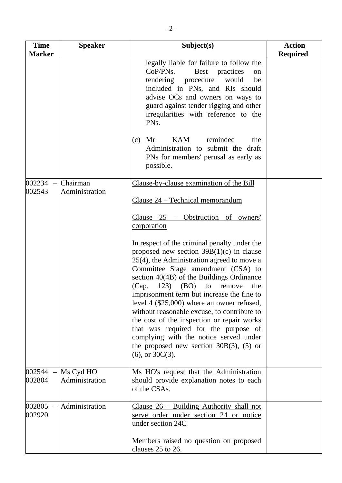| <b>Time</b>                                  | <b>Speaker</b>              | Subject(s)                                                                                                                                                                                                                                                                                                                                                                                                                                                                                                                                                                                                                           | <b>Action</b>   |
|----------------------------------------------|-----------------------------|--------------------------------------------------------------------------------------------------------------------------------------------------------------------------------------------------------------------------------------------------------------------------------------------------------------------------------------------------------------------------------------------------------------------------------------------------------------------------------------------------------------------------------------------------------------------------------------------------------------------------------------|-----------------|
| <b>Marker</b>                                |                             | legally liable for failure to follow the<br>CoP/PNs.<br>Best practices<br><sub>on</sub><br>tendering procedure<br>would<br>be<br>included in PNs, and RIs should<br>advise OCs and owners on ways to<br>guard against tender rigging and other<br>irregularities with reference to the<br>PN <sub>s</sub> .<br><b>KAM</b><br>reminded<br>Mr<br>the<br>(c)<br>Administration to submit the draft<br>PNs for members' perusal as early as<br>possible.                                                                                                                                                                                 | <b>Required</b> |
| 002234<br>$\overline{\phantom{0}}$<br>002543 | Chairman<br>Administration  | Clause-by-clause examination of the Bill<br>Clause 24 - Technical memorandum<br>Clause 25 - Obstruction of owners'<br>corporation                                                                                                                                                                                                                                                                                                                                                                                                                                                                                                    |                 |
|                                              |                             | In respect of the criminal penalty under the<br>proposed new section $39B(1)(c)$ in clause<br>$25(4)$ , the Administration agreed to move a<br>Committee Stage amendment (CSA) to<br>section 40(4B) of the Buildings Ordinance<br>$(123)$ $(BO)$<br>to<br>(Cap.<br>remove<br>the<br>imprisonment term but increase the fine to<br>level $4$ (\$25,000) where an owner refused,<br>without reasonable excuse, to contribute to<br>the cost of the inspection or repair works<br>that was required for the purpose of<br>complying with the notice served under<br>the proposed new section $30B(3)$ , (5) or<br>$(6)$ , or $30C(3)$ . |                 |
| 002544<br>002804                             | Ms Cyd HO<br>Administration | Ms HO's request that the Administration<br>should provide explanation notes to each<br>of the CSAs.                                                                                                                                                                                                                                                                                                                                                                                                                                                                                                                                  |                 |
| 002805<br>002920                             | Administration              | Clause $26$ – Building Authority shall not<br>serve order under section 24 or notice<br>under section 24C<br>Members raised no question on proposed<br>clauses 25 to 26.                                                                                                                                                                                                                                                                                                                                                                                                                                                             |                 |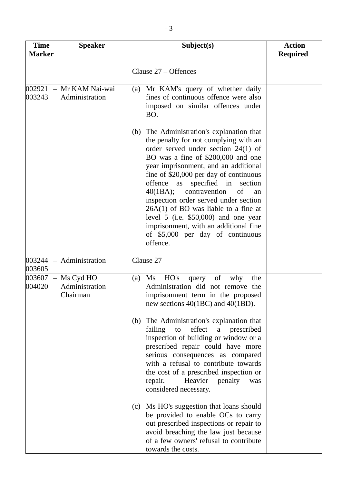| <b>Time</b><br><b>Marker</b>                 | <b>Speaker</b>                          | Subject(s)                                                                                                                                                                                                                                                                                                                                                                                                                                                                                                                                                | <b>Action</b><br><b>Required</b> |
|----------------------------------------------|-----------------------------------------|-----------------------------------------------------------------------------------------------------------------------------------------------------------------------------------------------------------------------------------------------------------------------------------------------------------------------------------------------------------------------------------------------------------------------------------------------------------------------------------------------------------------------------------------------------------|----------------------------------|
|                                              |                                         | Clause 27 – Offences                                                                                                                                                                                                                                                                                                                                                                                                                                                                                                                                      |                                  |
| 002921<br>$\overline{\phantom{m}}$<br>003243 | Mr KAM Nai-wai<br>Administration        | Mr KAM's query of whether daily<br>(a)<br>fines of continuous offence were also<br>imposed on similar offences under<br>BO.                                                                                                                                                                                                                                                                                                                                                                                                                               |                                  |
|                                              |                                         | The Administration's explanation that<br>(b)<br>the penalty for not complying with an<br>order served under section $24(1)$ of<br>BO was a fine of \$200,000 and one<br>year imprisonment, and an additional<br>fine of $$20,000$ per day of continuous<br>offence as specified in section<br>40(1BA);<br>contravention<br>of<br>an<br>inspection order served under section<br>$26A(1)$ of BO was liable to a fine at<br>level $5$ (i.e. \$50,000) and one year<br>imprisonment, with an additional fine<br>of \$5,000 per day of continuous<br>offence. |                                  |
| 003244<br>$\overline{\phantom{m}}$<br>003605 | Administration                          | Clause 27                                                                                                                                                                                                                                                                                                                                                                                                                                                                                                                                                 |                                  |
| 003607<br>004020                             | Ms Cyd HO<br>Administration<br>Chairman | HO's<br>of<br>why<br>Ms<br>the<br>(a)<br>query<br>Administration did not remove the<br>imprisonment term in the proposed<br>new sections 40(1BC) and 40(1BD).<br>The Administration's explanation that<br>(b)<br>effect a prescribed<br>failing<br>to<br>inspection of building or window or a<br>prescribed repair could have more                                                                                                                                                                                                                       |                                  |
|                                              |                                         | serious consequences as compared<br>with a refusal to contribute towards<br>the cost of a prescribed inspection or<br>Heavier<br>penalty<br>repair.<br>was<br>considered necessary.                                                                                                                                                                                                                                                                                                                                                                       |                                  |
|                                              |                                         | (c) Ms HO's suggestion that loans should<br>be provided to enable OCs to carry<br>out prescribed inspections or repair to<br>avoid breaching the law just because<br>of a few owners' refusal to contribute<br>towards the costs.                                                                                                                                                                                                                                                                                                                         |                                  |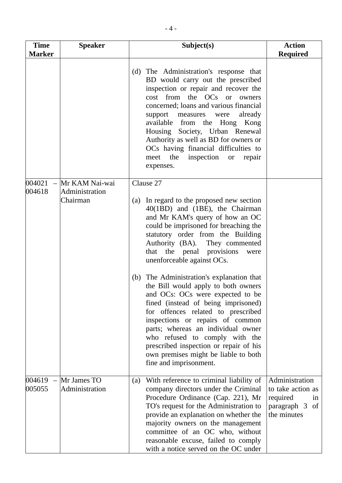| <b>Time</b><br><b>Marker</b> | <b>Speaker</b>                               | Subject(s)                                                                                                                                                                                                                                                                                                                                                                                                                                                    | <b>Action</b><br><b>Required</b>                                                       |
|------------------------------|----------------------------------------------|---------------------------------------------------------------------------------------------------------------------------------------------------------------------------------------------------------------------------------------------------------------------------------------------------------------------------------------------------------------------------------------------------------------------------------------------------------------|----------------------------------------------------------------------------------------|
|                              |                                              | The Administration's response that<br>(d)<br>BD would carry out the prescribed<br>inspection or repair and recover the<br>cost from the OCs or owners<br>concerned; loans and various financial<br>already<br>support<br>measures<br>were<br>available from the Hong Kong<br>Housing Society, Urban Renewal<br>Authority as well as BD for owners or<br>OCs having financial difficulties to<br>inspection<br>meet<br>the<br><b>or</b><br>repair<br>expenses. |                                                                                        |
| 004021<br>004618             | Mr KAM Nai-wai<br>Administration<br>Chairman | Clause 27<br>In regard to the proposed new section<br>(a)<br>40(1BD) and (1BE), the Chairman<br>and Mr KAM's query of how an OC<br>could be imprisoned for breaching the<br>statutory order from the Building<br>Authority (BA). They commented<br>that the penal provisions<br>were<br>unenforceable against OCs.                                                                                                                                            |                                                                                        |
|                              |                                              | The Administration's explanation that<br>(b)<br>the Bill would apply to both owners<br>and OCs: OCs were expected to be<br>fined (instead of being imprisoned)<br>for offences related to prescribed<br>inspections or repairs of common<br>parts; whereas an individual owner<br>who refused to comply with the<br>prescribed inspection or repair of his<br>own premises might be liable to both<br>fine and imprisonment.                                  |                                                                                        |
| 004619<br>005055             | Mr James TO<br>Administration                | With reference to criminal liability of<br>(a)<br>company directors under the Criminal<br>Procedure Ordinance (Cap. 221), Mr<br>TO's request for the Administration to<br>provide an explanation on whether the<br>majority owners on the management<br>committee of an OC who, without<br>reasonable excuse, failed to comply<br>with a notice served on the OC under                                                                                        | Administration<br>to take action as<br>required<br>in<br>paragraph 3 of<br>the minutes |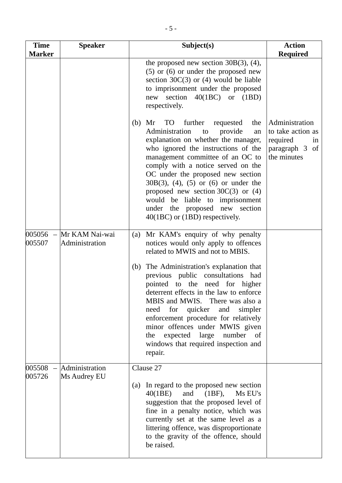| <b>Time</b><br><b>Marker</b> | <b>Speaker</b>                   | Subject(s)                                                                                                                                                                                                                                                                                                                                                                                                                                                                            | <b>Action</b><br><b>Required</b>                                                       |
|------------------------------|----------------------------------|---------------------------------------------------------------------------------------------------------------------------------------------------------------------------------------------------------------------------------------------------------------------------------------------------------------------------------------------------------------------------------------------------------------------------------------------------------------------------------------|----------------------------------------------------------------------------------------|
|                              |                                  | the proposed new section $30B(3)$ , (4),<br>$(5)$ or $(6)$ or under the proposed new<br>section $30C(3)$ or (4) would be liable<br>to imprisonment under the proposed<br>new section 40(1BC) or (1BD)<br>respectively.                                                                                                                                                                                                                                                                |                                                                                        |
|                              |                                  | <b>TO</b><br>further<br>(b)<br>Mr<br>requested<br>the<br>provide<br>Administration<br>to<br>an<br>explanation on whether the manager,<br>who ignored the instructions of the<br>management committee of an OC to<br>comply with a notice served on the<br>OC under the proposed new section<br>$30B(3)$ , (4), (5) or (6) or under the<br>proposed new section $30C(3)$ or (4)<br>would be liable to imprisonment<br>under the proposed new section<br>40(1BC) or (1BD) respectively. | Administration<br>to take action as<br>required<br>in<br>paragraph 3 of<br>the minutes |
| 005056<br>$\sim$<br>005507   | Mr KAM Nai-wai<br>Administration | Mr KAM's enquiry of why penalty<br>(a)<br>notices would only apply to offences<br>related to MWIS and not to MBIS.                                                                                                                                                                                                                                                                                                                                                                    |                                                                                        |
|                              |                                  | The Administration's explanation that<br>(b)<br>previous public consultations had<br>pointed to the need for higher<br>deterrent effects in the law to enforce<br>MBIS and MWIS. There was also a<br>need for quicker<br>and<br>simpler<br>enforcement procedure for relatively<br>minor offences under MWIS given<br>large<br>number<br>expected<br>of<br>the<br>windows that required inspection and<br>repair.                                                                     |                                                                                        |
| 005508<br>005726             | Administration<br>Ms Audrey EU   | Clause 27                                                                                                                                                                                                                                                                                                                                                                                                                                                                             |                                                                                        |
|                              |                                  | In regard to the proposed new section<br>$\left( a\right)$<br>and<br>40(1BE)<br>$(1BF)$ ,<br>Ms EU's<br>suggestion that the proposed level of<br>fine in a penalty notice, which was<br>currently set at the same level as a<br>littering offence, was disproportionate<br>to the gravity of the offence, should<br>be raised.                                                                                                                                                        |                                                                                        |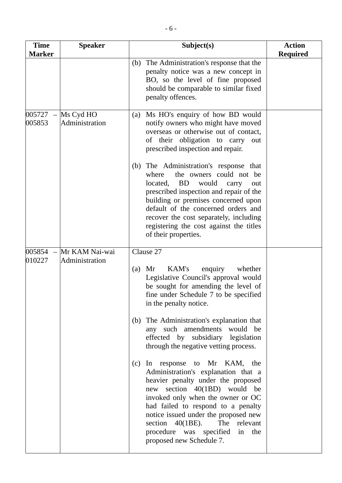| <b>Speaker</b>                   | Subject(s)                                                                                                                                                                                                                                                                                                                                                                                                                                                                                                                                                                                                                                                                                                           | <b>Action</b><br><b>Required</b> |
|----------------------------------|----------------------------------------------------------------------------------------------------------------------------------------------------------------------------------------------------------------------------------------------------------------------------------------------------------------------------------------------------------------------------------------------------------------------------------------------------------------------------------------------------------------------------------------------------------------------------------------------------------------------------------------------------------------------------------------------------------------------|----------------------------------|
|                                  | The Administration's response that the<br>(b)<br>penalty notice was a new concept in<br>BO, so the level of fine proposed<br>should be comparable to similar fixed<br>penalty offences.                                                                                                                                                                                                                                                                                                                                                                                                                                                                                                                              |                                  |
| Ms Cyd HO<br>Administration      | Ms HO's enquiry of how BD would<br>(a)<br>notify owners who might have moved<br>overseas or otherwise out of contact,<br>of their obligation to carry<br>out<br>prescribed inspection and repair.                                                                                                                                                                                                                                                                                                                                                                                                                                                                                                                    |                                  |
|                                  | The Administration's response that<br>(b)<br>the owners could not be<br>where<br><b>BD</b><br>located,<br>would<br>carry<br>out<br>prescribed inspection and repair of the<br>building or premises concerned upon<br>default of the concerned orders and<br>recover the cost separately, including<br>registering the cost against the titles<br>of their properties.                                                                                                                                                                                                                                                                                                                                                |                                  |
| Mr KAM Nai-wai<br>Administration | Clause 27<br>KAM's<br>Mr<br>enquiry<br>whether<br>(a)<br>Legislative Council's approval would<br>be sought for amending the level of<br>fine under Schedule 7 to be specified<br>in the penalty notice.<br>The Administration's explanation that<br>(b)<br>any such amendments would be<br>effected by subsidiary legislation<br>through the negative vetting process.<br>In response to Mr KAM, the<br>(c)<br>Administration's explanation that a<br>heavier penalty under the proposed<br>new section 40(1BD) would be<br>invoked only when the owner or OC<br>had failed to respond to a penalty<br>notice issued under the proposed new<br>section $40(1BE)$ .<br>The relevant<br>procedure was specified in the |                                  |
|                                  |                                                                                                                                                                                                                                                                                                                                                                                                                                                                                                                                                                                                                                                                                                                      | proposed new Schedule 7.         |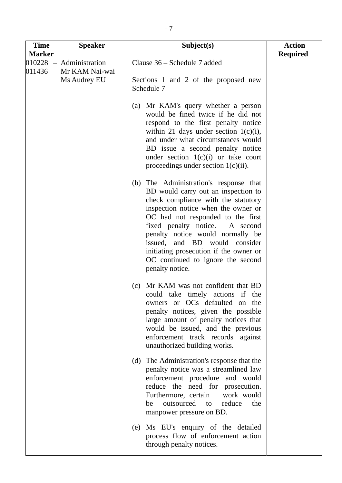| <b>Time</b><br><b>Marker</b> | <b>Speaker</b>                   | Subject(s)                                                                                                                                                                                                                                                                                                                                                                                                   | <b>Action</b><br><b>Required</b> |
|------------------------------|----------------------------------|--------------------------------------------------------------------------------------------------------------------------------------------------------------------------------------------------------------------------------------------------------------------------------------------------------------------------------------------------------------------------------------------------------------|----------------------------------|
| 010228<br>011436             | Administration<br>Mr KAM Nai-wai | Clause 36 – Schedule 7 added                                                                                                                                                                                                                                                                                                                                                                                 |                                  |
|                              | Ms Audrey EU                     | Sections 1 and 2 of the proposed new<br>Schedule 7                                                                                                                                                                                                                                                                                                                                                           |                                  |
|                              |                                  | (a) Mr KAM's query whether a person<br>would be fined twice if he did not<br>respond to the first penalty notice<br>within 21 days under section $1(c)(i)$ ,<br>and under what circumstances would<br>BD issue a second penalty notice<br>under section $1(c)(i)$ or take court<br>proceedings under section $1(c)(ii)$ .                                                                                    |                                  |
|                              |                                  | (b) The Administration's response that<br>BD would carry out an inspection to<br>check compliance with the statutory<br>inspection notice when the owner or<br>OC had not responded to the first<br>fixed penalty notice.<br>A second<br>penalty notice would normally be<br>issued, and BD would consider<br>initiating prosecution if the owner or<br>OC continued to ignore the second<br>penalty notice. |                                  |
|                              |                                  | Mr KAM was not confident that BD<br>(c)<br>could take timely actions if the<br>owners or OCs defaulted on the<br>penalty notices, given the possible<br>large amount of penalty notices that<br>would be issued, and the previous<br>enforcement track records against<br>unauthorized building works.                                                                                                       |                                  |
|                              |                                  | The Administration's response that the<br>(d)<br>penalty notice was a streamlined law<br>enforcement procedure and would<br>reduce the need for prosecution.<br>Furthermore, certain work would<br>outsourced to<br>reduce<br>be<br>the<br>manpower pressure on BD.                                                                                                                                          |                                  |
|                              |                                  | (e) Ms EU's enquiry of the detailed<br>process flow of enforcement action<br>through penalty notices.                                                                                                                                                                                                                                                                                                        |                                  |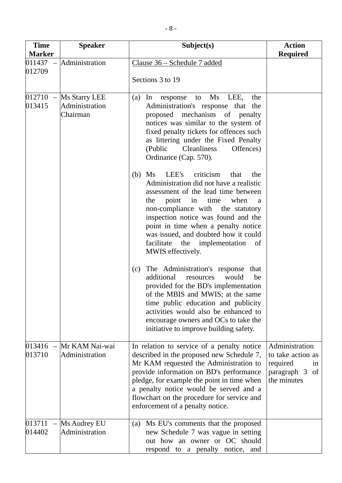| <b>Time</b><br><b>Marker</b> | <b>Speaker</b>                                         | Subject(s)                                                                                                                                                                                                                                                                                                                                                                                   | <b>Action</b>                                                                             |
|------------------------------|--------------------------------------------------------|----------------------------------------------------------------------------------------------------------------------------------------------------------------------------------------------------------------------------------------------------------------------------------------------------------------------------------------------------------------------------------------------|-------------------------------------------------------------------------------------------|
|                              | $011437$ - Administration                              | Clause 36 – Schedule 7 added                                                                                                                                                                                                                                                                                                                                                                 | <b>Required</b>                                                                           |
| 012709                       |                                                        | Sections 3 to 19                                                                                                                                                                                                                                                                                                                                                                             |                                                                                           |
| 013415                       | $012710$ – Ms Starry LEE<br>Administration<br>Chairman | to Ms LEE,<br>(a)<br>In<br>response<br>the<br>Administration's response that the<br>proposed mechanism of penalty<br>notices was similar to the system of<br>fixed penalty tickets for offences such<br>as littering under the Fixed Penalty<br><b>Cleanliness</b><br>(Public<br>Offences)<br>Ordinance (Cap. 570).                                                                          |                                                                                           |
|                              |                                                        | LEE's<br>criticism<br>Ms<br>the<br>(b)<br>that<br>Administration did not have a realistic<br>assessment of the lead time between<br>point in time<br>the<br>when<br>a<br>non-compliance with the statutory<br>inspection notice was found and the<br>point in time when a penalty notice<br>was issued, and doubted how it could<br>facilitate the implementation<br>of<br>MWIS effectively. |                                                                                           |
|                              |                                                        | The Administration's response that<br>(c)<br>additional<br>would<br>be<br>resources<br>provided for the BD's implementation<br>of the MBIS and MWIS; at the same<br>time public education and publicity<br>activities would also be enhanced to<br>encourage owners and OCs to take the<br>initiative to improve building safety.                                                            |                                                                                           |
| 013416<br>013710             | Mr KAM Nai-wai<br>Administration                       | In relation to service of a penalty notice<br>described in the proposed new Schedule 7,<br>Mr KAM requested the Administration to<br>provide information on BD's performance<br>pledge, for example the point in time when<br>a penalty notice would be served and a<br>flowchart on the procedure for service and<br>enforcement of a penalty notice.                                       | Administration<br>to take action as<br>required<br>in<br>paragraph 3<br>of<br>the minutes |
| 013711<br>014402             | Ms Audrey EU<br>Administration                         | Ms EU's comments that the proposed<br>(a)<br>new Schedule 7 was vague in setting<br>out how an owner or OC should<br>respond to a penalty notice, and                                                                                                                                                                                                                                        |                                                                                           |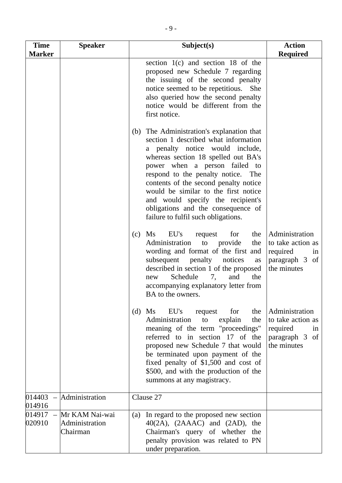| <b>Time</b><br><b>Marker</b>          | <b>Speaker</b>                               | Subject(s)                                                                                                                                                                                                                                                                                                                                                                                                                               | <b>Action</b><br><b>Required</b>                                                       |
|---------------------------------------|----------------------------------------------|------------------------------------------------------------------------------------------------------------------------------------------------------------------------------------------------------------------------------------------------------------------------------------------------------------------------------------------------------------------------------------------------------------------------------------------|----------------------------------------------------------------------------------------|
|                                       |                                              | section 1(c) and section 18 of the<br>proposed new Schedule 7 regarding<br>the issuing of the second penalty<br>notice seemed to be repetitious.<br>She<br>also queried how the second penalty<br>notice would be different from the<br>first notice.                                                                                                                                                                                    |                                                                                        |
|                                       |                                              | The Administration's explanation that<br>(b)<br>section 1 described what information<br>a penalty notice would include,<br>whereas section 18 spelled out BA's<br>power when a person failed to<br>respond to the penalty notice. The<br>contents of the second penalty notice<br>would be similar to the first notice<br>and would specify the recipient's<br>obligations and the consequence of<br>failure to fulfil such obligations. |                                                                                        |
|                                       |                                              | Ms<br>EU's<br>for<br>the<br>(c)<br>request<br>Administration<br>provide<br>the<br>to<br>wording and format of the first and<br>subsequent<br>notices<br>penalty<br>as<br>described in section 1 of the proposed<br>Schedule<br>7,<br>and<br>the<br>new<br>accompanying explanatory letter from<br>BA to the owners.                                                                                                                      | Administration<br>to take action as<br>required<br>in<br>paragraph 3 of<br>the minutes |
|                                       |                                              | $(d)$ Ms<br>EU's<br>for<br>the<br>request<br>explain<br>Administration<br>the<br>to<br>meaning of the term "proceedings"<br>referred to in section 17 of the<br>proposed new Schedule 7 that would<br>be terminated upon payment of the<br>fixed penalty of \$1,500 and cost of<br>\$500, and with the production of the<br>summons at any magistracy.                                                                                   | Administration<br>to take action as<br>required<br>in<br>paragraph 3 of<br>the minutes |
| 014403<br>014916                      | Administration                               | Clause 27                                                                                                                                                                                                                                                                                                                                                                                                                                |                                                                                        |
| 014917<br>$\qquad \qquad -$<br>020910 | Mr KAM Nai-wai<br>Administration<br>Chairman | In regard to the proposed new section<br>(a)<br>$40(2A)$ , $(2AAAC)$ and $(2AD)$ , the<br>Chairman's query of whether the<br>penalty provision was related to PN<br>under preparation.                                                                                                                                                                                                                                                   |                                                                                        |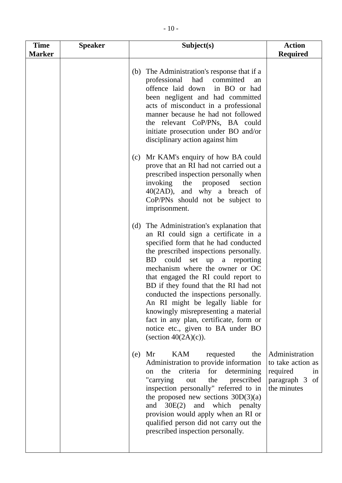| <b>Time</b><br><b>Marker</b> | <b>Speaker</b> | Subject(s)                                                                                                                                                                                                                                                                                                                                                                                                                                                                                                                                                                   | <b>Action</b><br><b>Required</b>                                                       |
|------------------------------|----------------|------------------------------------------------------------------------------------------------------------------------------------------------------------------------------------------------------------------------------------------------------------------------------------------------------------------------------------------------------------------------------------------------------------------------------------------------------------------------------------------------------------------------------------------------------------------------------|----------------------------------------------------------------------------------------|
|                              |                | The Administration's response that if a<br>(b)<br>professional<br>had committed<br>an<br>offence laid down<br>in BO or had<br>been negligent and had committed<br>acts of misconduct in a professional<br>manner because he had not followed<br>the relevant CoP/PNs, BA could<br>initiate prosecution under BO and/or<br>disciplinary action against him                                                                                                                                                                                                                    |                                                                                        |
|                              |                | Mr KAM's enquiry of how BA could<br>(c)<br>prove that an RI had not carried out a<br>prescribed inspection personally when<br>invoking<br>the<br>proposed<br>section<br>40(2AD), and why a breach of<br>CoP/PNs should not be subject to<br>imprisonment.                                                                                                                                                                                                                                                                                                                    |                                                                                        |
|                              |                | The Administration's explanation that<br>(d)<br>an RI could sign a certificate in a<br>specified form that he had conducted<br>the prescribed inspections personally.<br>could<br><b>BD</b><br>set<br>up<br>a<br>reporting<br>mechanism where the owner or OC<br>that engaged the RI could report to<br>BD if they found that the RI had not<br>conducted the inspections personally.<br>An RI might be legally liable for<br>knowingly misrepresenting a material<br>fact in any plan, certificate, form or<br>notice etc., given to BA under BO<br>(section $40(2A)(c)$ ). |                                                                                        |
|                              |                | <b>KAM</b><br>requested<br>(e)<br>Mr<br>the<br>Administration to provide information<br>the criteria for determining<br>on<br>"carrying<br>prescribed<br>the<br>out<br>inspection personally" referred to in<br>the proposed new sections $30D(3)(a)$<br>and 30E(2) and which penalty<br>provision would apply when an RI or<br>qualified person did not carry out the<br>prescribed inspection personally.                                                                                                                                                                  | Administration<br>to take action as<br>required<br>in<br>paragraph 3 of<br>the minutes |